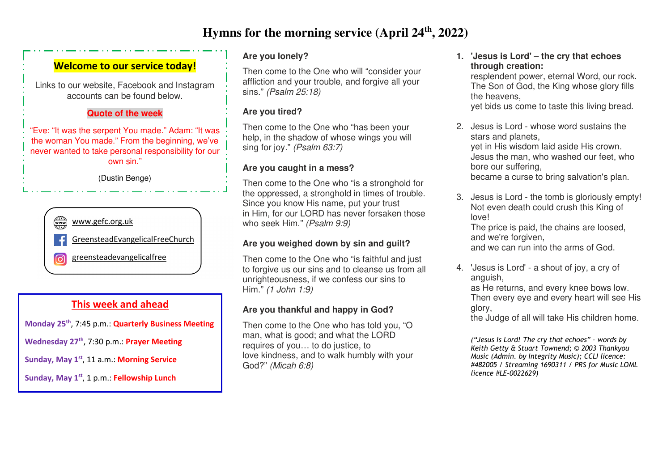# **Hymns for the morning service (April 24th, 2022)**

## **Welcome to our service today!**

Links to our website, Facebook and Instagram accounts can be found below.

#### **Quote of the week**

"Eve: "It was the serpent You made." Adam: "It was the woman You made." From the beginning, we've never wanted to take personal responsibility for our own sin."

(Dustin Benge)



## **This week and ahead**

**Monday 25th**, 7:45 p.m.: **Quarterly Business Meeting** 

**Wednesday 27th**, 7:30 p.m.: **Prayer Meeting** 

**Sunday, May 1st**, 11 a.m.: **Morning Service** 

**Sunday, May 1st**, 1 p.m.: **Fellowship Lunch** 

### **Are you lonely?**

Then come to the One who will "consider your affliction and your trouble, and forgive all your sins." *(Psalm 25:18)*

#### **Are you tired?**

Then come to the One who "has been your help, in the shadow of whose wings you will sing for joy." *(Psalm 63:7)*

### **Are you caught in a mess?**

Then come to the One who "is a stronghold for the oppressed, a stronghold in times of trouble. Since you know His name, put your trust in Him, for our LORD has never forsaken those who seek Him." *(Psalm 9:9)*

#### **Are you weighed down by sin and guilt?**

Then come to the One who "is faithful and just to forgive us our sins and to cleanse us from all unrighteousness, if we confess our sins to Him." *(1 John 1:9)*

### **Are you thankful and happy in God?**

Then come to the One who has told you, "O man, what is good; and what the LORD requires of you… to do justice, to love kindness, and to walk humbly with your God?" *(Micah 6:8)*

**1. 'Jesus is Lord' – the cry that echoes through creation:** 

 resplendent power, eternal Word, our rock. The Son of God, the King whose glory fills the heavens,

yet bids us come to taste this living bread.

- 2. Jesus is Lord whose word sustains the stars and planets, yet in His wisdom laid aside His crown. Jesus the man, who washed our feet, who bore our suffering, became a curse to bring salvation's plan.
- 3. Jesus is Lord the tomb is gloriously empty! Not even death could crush this King of love! The price is paid, the chains are loosed,

and we're forgiven,

and we can run into the arms of God.

4. 'Jesus is Lord' - a shout of joy, a cry of anguish,

 as He returns, and every knee bows low. Then every eye and every heart will see His glory,

the Judge of all will take His children home.

*("Jesus is Lord! The cry that echoes" - words by Keith Getty & Stuart Townend; © 2003 Thankyou Music (Admin. by Integrity Music); CCLI licence: #482005 / Streaming 1690311 / PRS for Music LOML licence #LE-0022629)*